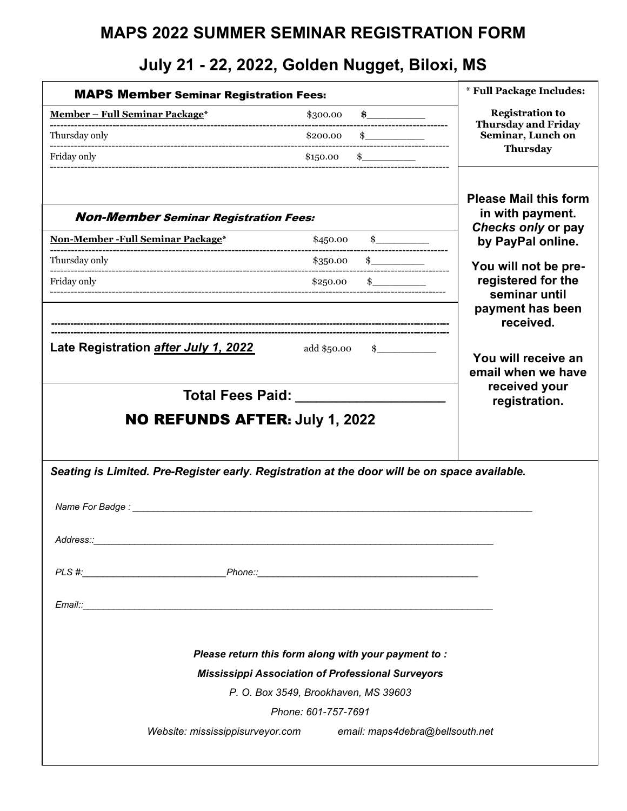## **MAPS 2022 SUMMER SEMINAR REGISTRATION FORM**

# **July 21 - 22, 2022, Golden Nugget, Biloxi, MS**

| <b>MAPS Member Seminar Registration Fees:</b>                                                |                                                      | * Full Package Includes:                        |  |  |
|----------------------------------------------------------------------------------------------|------------------------------------------------------|-------------------------------------------------|--|--|
| <b>Member - Full Seminar Package*</b>                                                        | \$300.00<br>$\sim$                                   | <b>Registration to</b>                          |  |  |
| Thursday only                                                                                | \$200.00<br>------------------------                 | <b>Thursday and Friday</b><br>Seminar, Lunch on |  |  |
| Friday only                                                                                  | \$150.00<br>$\frac{1}{2}$                            | Thursday                                        |  |  |
|                                                                                              |                                                      |                                                 |  |  |
|                                                                                              |                                                      | <b>Please Mail this form</b>                    |  |  |
| <b>Non-Member Seminar Registration Fees:</b>                                                 |                                                      | in with payment.<br>Checks only or pay          |  |  |
| Non-Member - Full Seminar Package*                                                           | \$450.00<br>$\frac{1}{2}$                            | by PayPal online.                               |  |  |
| Thursday only                                                                                | \$350.00                                             | You will not be pre-                            |  |  |
| Friday only                                                                                  | \$250.00<br>$\frac{1}{2}$                            | registered for the                              |  |  |
|                                                                                              |                                                      | seminar until<br>payment has been               |  |  |
|                                                                                              |                                                      | received.                                       |  |  |
| Late Registration after July 1, 2022                                                         | add \$50.00<br>\$                                    |                                                 |  |  |
|                                                                                              |                                                      | You will receive an<br>email when we have       |  |  |
| <b>Total Fees Paid:</b>                                                                      |                                                      | received your                                   |  |  |
|                                                                                              |                                                      | registration.                                   |  |  |
| <b>NO REFUNDS AFTER: July 1, 2022</b>                                                        |                                                      |                                                 |  |  |
|                                                                                              |                                                      |                                                 |  |  |
| Seating is Limited. Pre-Register early. Registration at the door will be on space available. |                                                      |                                                 |  |  |
|                                                                                              |                                                      |                                                 |  |  |
| Name For Badge:                                                                              |                                                      |                                                 |  |  |
| Address::__                                                                                  |                                                      |                                                 |  |  |
|                                                                                              |                                                      |                                                 |  |  |
|                                                                                              |                                                      |                                                 |  |  |
|                                                                                              |                                                      |                                                 |  |  |
|                                                                                              |                                                      |                                                 |  |  |
|                                                                                              |                                                      |                                                 |  |  |
|                                                                                              | Please return this form along with your payment to : |                                                 |  |  |
| <b>Mississippi Association of Professional Surveyors</b>                                     |                                                      |                                                 |  |  |
| P. O. Box 3549, Brookhaven, MS 39603                                                         |                                                      |                                                 |  |  |
| Phone: 601-757-7691                                                                          |                                                      |                                                 |  |  |
| Website: mississippisurveyor.com                                                             | email: maps4debra@bellsouth.net                      |                                                 |  |  |